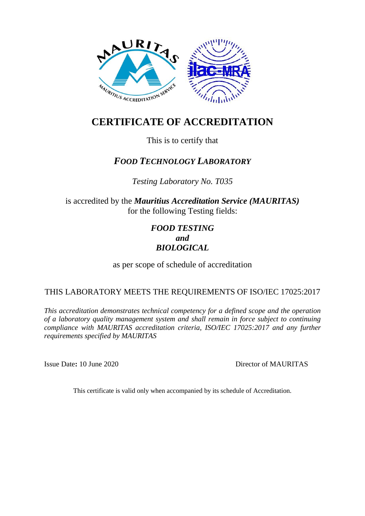

# **CERTIFICATE OF ACCREDITATION**

This is to certify that

# *FOOD TECHNOLOGY LABORATORY*

*Testing Laboratory No. T035*

is accredited by the *Mauritius Accreditation Service (MAURITAS)* for the following Testing fields:

# *FOOD TESTING and BIOLOGICAL*

as per scope of schedule of accreditation

## THIS LABORATORY MEETS THE REQUIREMENTS OF ISO/IEC 17025:2017

*This accreditation demonstrates technical competency for a defined scope and the operation of a laboratory quality management system and shall remain in force subject to continuing compliance with MAURITAS accreditation criteria, ISO/IEC 17025:2017 and any further requirements specified by MAURITAS*

Issue Date**:** 10 June 2020 Director of MAURITAS

This certificate is valid only when accompanied by its schedule of Accreditation.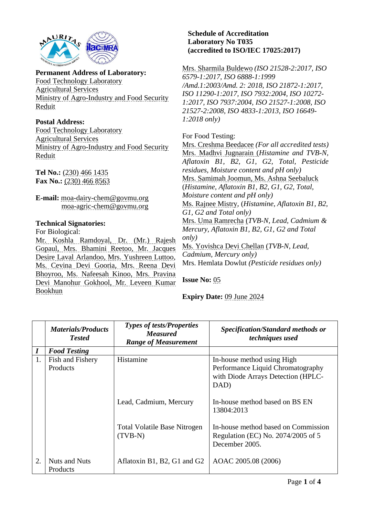

#### **Permanent Address of Laboratory:** Food Technology Laboratory Agricultural Services Ministry of Agro-Industry and Food Security Reduit

#### **Postal Address:** Food Technology Laboratory Agricultural Services Ministry of Agro-Industry and Food Security Reduit

**Tel No.:** (230) 466 1435 **Fax No.:** (230) 466 8563

**E-mail:** moa-dairy-chem@govmu.org moa-agric-chem@govmu.org

### **Technical Signatories:**

For Biological:

Mr. Koshla Ramdoyal, Dr. (Mr.) Rajesh Gopaul, Mrs. Bhamini Reetoo, Mr. Jacques Desire Laval Arlandoo, Mrs. Yushreen Luttoo, Ms. Cevina Devi Gooria, Mrs. Reena Devi Bhoyroo, Ms. Nafeesah Kinoo, Mrs. Pravina Devi Manohur Gokhool, Mr. Leveen Kumar Bookhun

### **Schedule of Accreditation Laboratory No T035 (accredited to ISO/IEC 17025:2017)**

Mrs. Sharmila Buldewo *(ISO 21528-2:2017, ISO 6579-1:2017, ISO 6888-1:1999 /Amd.1:2003/Amd. 2: 2018, ISO 21872-1:2017, ISO 11290-1:2017, ISO 7932:2004, ISO 10272- 1:2017, ISO 7937:2004, ISO 21527-1:2008, ISO 21527-2:2008, ISO 4833-1:2013, ISO 16649- 1:2018 only)*

### For Food Testing:

Mrs. Creshma Beedacee *(For all accredited tests)* Mrs. Madhvi Jugnarain (*Histamine and TVB-N, Aflatoxin B1, B2, G1, G2, Total, Pesticide residues, Moisture content and pH only)*  Mrs. Samimah Joomun, Ms. Ashna Seebaluck (*Histamine, Aflatoxin B1, B2, G1, G2, Total, Moisture content and pH only)* Ms. Rajnee Mistry, (*Histamine, Aflatoxin B1, B2, G1, G2 and Total only)* Mrs. Uma Ramrecha (*TVB-N, Lead, Cadmium & Mercury, Aflatoxin B1, B2, G1, G2 and Total only)* Ms. Yovishca Devi Chellan (*TVB-N, Lead, Cadmium, Mercury only)* Mrs. Hemlata Dowlut *(Pesticide residues only)*

**Issue No:** 05

**Expiry Date:** 09 June 2024

|                  | <b>Materials/Products</b><br><b>Tested</b> | <b>Types of tests/Properties</b><br><b>Measured</b><br><b>Range of Measurement</b> | <b>Specification/Standard methods or</b><br>techniques used                                                   |
|------------------|--------------------------------------------|------------------------------------------------------------------------------------|---------------------------------------------------------------------------------------------------------------|
| $\boldsymbol{I}$ | <b>Food Testing</b>                        |                                                                                    |                                                                                                               |
| 1.               | Fish and Fishery<br>Products               | Histamine                                                                          | In-house method using High<br>Performance Liquid Chromatography<br>with Diode Arrays Detection (HPLC-<br>DAD) |
|                  |                                            | Lead, Cadmium, Mercury                                                             | In-house method based on BS EN<br>13804:2013                                                                  |
|                  |                                            | <b>Total Volatile Base Nitrogen</b><br>$(TVB-N)$                                   | In-house method based on Commission<br>Regulation (EC) No. 2074/2005 of 5<br>December 2005.                   |
| 2.               | <b>Nuts and Nuts</b><br>Products           | Aflatoxin B1, B2, G1 and G2                                                        | AOAC 2005.08 (2006)                                                                                           |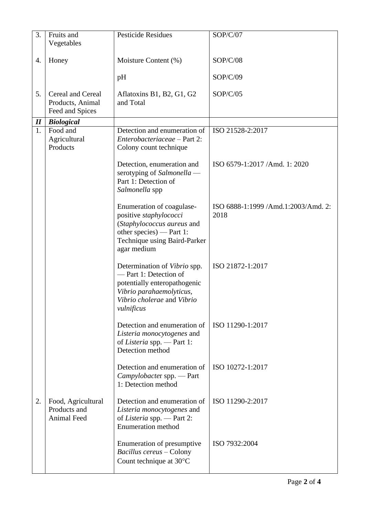| 3.                         | Fruits and<br>Vegetables                                        | <b>Pesticide Residues</b>                                                                                                                                            | SOP/C/07                                    |
|----------------------------|-----------------------------------------------------------------|----------------------------------------------------------------------------------------------------------------------------------------------------------------------|---------------------------------------------|
| 4.                         | Honey                                                           | Moisture Content (%)                                                                                                                                                 | SOP/C/08                                    |
|                            |                                                                 | pH                                                                                                                                                                   | SOP/C/09                                    |
| 5.                         | <b>Cereal and Cereal</b><br>Products, Animal<br>Feed and Spices | Aflatoxins B1, B2, G1, G2<br>and Total                                                                                                                               | SOP/C/05                                    |
| $\boldsymbol{\mathit{II}}$ | <b>Biological</b>                                               |                                                                                                                                                                      |                                             |
| 1.                         | Food and<br>Agricultural<br>Products                            | Detection and enumeration of<br>Enterobacteriaceae - Part 2:<br>Colony count technique                                                                               | ISO 21528-2:2017                            |
|                            |                                                                 | Detection, enumeration and<br>serotyping of Salmonella -<br>Part 1: Detection of<br>Salmonella spp                                                                   | ISO 6579-1:2017 /Amd. 1: 2020               |
|                            |                                                                 | Enumeration of coagulase-<br>positive staphylococci<br>(Staphylococcus aureus and<br>other species) — Part 1:<br>Technique using Baird-Parker<br>agar medium         | ISO 6888-1:1999 /Amd.1:2003/Amd. 2:<br>2018 |
|                            |                                                                 | Determination of <i>Vibrio</i> spp.<br>-Part 1: Detection of<br>potentially enteropathogenic<br>Vibrio parahaemolyticus,<br>Vibrio cholerae and Vibrio<br>vulnificus | ISO 21872-1:2017                            |
|                            |                                                                 | Detection and enumeration of<br>Listeria monocytogenes and<br>of Listeria spp. - Part 1:<br>Detection method                                                         | ISO 11290-1:2017                            |
|                            |                                                                 | Detection and enumeration of<br>Campylobacter spp. - Part<br>1: Detection method                                                                                     | ISO 10272-1:2017                            |
| 2.                         | Food, Agricultural<br>Products and<br>Animal Feed               | Detection and enumeration of<br>Listeria monocytogenes and<br>of Listeria spp. - Part 2:<br><b>Enumeration</b> method                                                | ISO 11290-2:2017                            |
|                            |                                                                 | Enumeration of presumptive<br>Bacillus cereus - Colony<br>Count technique at 30°C                                                                                    | ISO 7932:2004                               |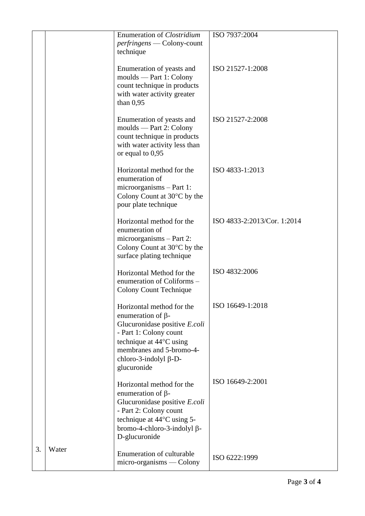|    |       | <b>Enumeration of Clostridium</b><br><i>perfringens</i> — Colony-count<br>technique                                                                                                                                    | ISO 7937:2004               |
|----|-------|------------------------------------------------------------------------------------------------------------------------------------------------------------------------------------------------------------------------|-----------------------------|
|    |       | Enumeration of yeasts and<br>moulds — Part 1: Colony<br>count technique in products<br>with water activity greater<br>than $0.95$                                                                                      | ISO 21527-1:2008            |
|    |       | Enumeration of yeasts and<br>moulds — Part 2: Colony<br>count technique in products<br>with water activity less than<br>or equal to $0.95$                                                                             | ISO 21527-2:2008            |
|    |       | Horizontal method for the<br>enumeration of<br>$microorganisms - Part 1:$<br>Colony Count at $30^{\circ}$ C by the<br>pour plate technique                                                                             | ISO 4833-1:2013             |
|    |       | Horizontal method for the<br>enumeration of<br>$microorganisms - Part 2$ :<br>Colony Count at $30^{\circ}$ C by the<br>surface plating technique                                                                       | ISO 4833-2:2013/Cor. 1:2014 |
|    |       | Horizontal Method for the<br>enumeration of Coliforms -<br><b>Colony Count Technique</b>                                                                                                                               | ISO 4832:2006               |
|    |       | Horizontal method for the<br>enumeration of $\beta$ -<br>Glucuronidase positive E.coli<br>- Part 1: Colony count<br>technique at 44°C using<br>membranes and 5-bromo-4-<br>chloro-3-indolyl $\beta$ -D-<br>glucuronide | ISO 16649-1:2018            |
|    |       | Horizontal method for the<br>enumeration of $\beta$ -<br>Glucuronidase positive E.coli<br>- Part 2: Colony count<br>technique at 44°C using 5-<br>bromo-4-chloro-3-indolyl β-<br>D-glucuronide                         | ISO 16649-2:2001            |
| 3. | Water | Enumeration of culturable<br>$micro-organisms$ — Colony                                                                                                                                                                | ISO 6222:1999               |